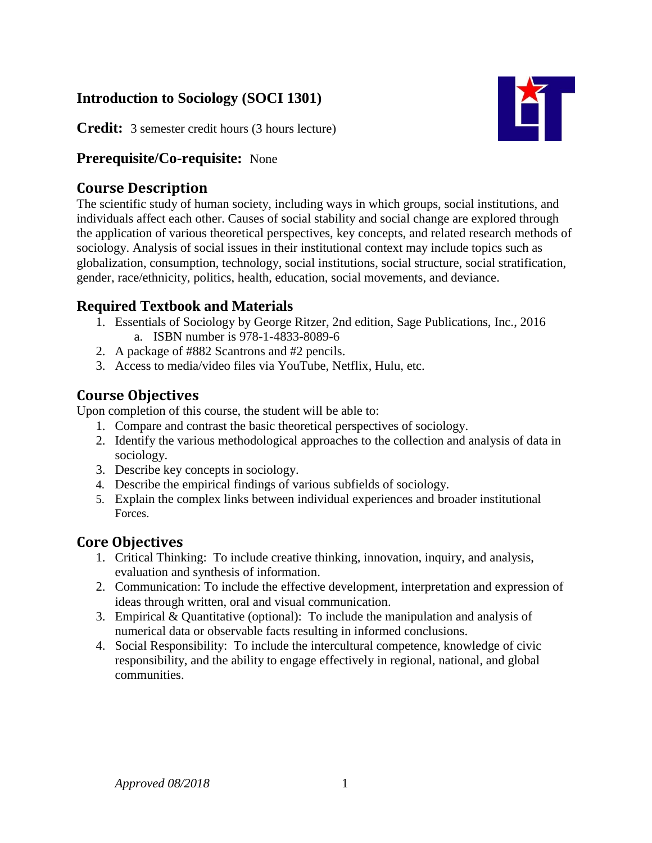# **Introduction to Sociology (SOCI 1301)**

**KT** 

**Credit:** 3 semester credit hours (3 hours lecture)

### **Prerequisite/Co-requisite:** None

# **Course Description**

The scientific study of human society, including ways in which groups, social institutions, and individuals affect each other. Causes of social stability and social change are explored through the application of various theoretical perspectives, key concepts, and related research methods of sociology. Analysis of social issues in their institutional context may include topics such as globalization, consumption, technology, social institutions, social structure, social stratification, gender, race/ethnicity, politics, health, education, social movements, and deviance.

# **Required Textbook and Materials**

- 1. Essentials of Sociology by George Ritzer, 2nd edition, Sage Publications, Inc., 2016 a. ISBN number is 978-1-4833-8089-6
- 2. A package of #882 Scantrons and #2 pencils.
- 3. Access to media/video files via YouTube, Netflix, Hulu, etc.

# **Course Objectives**

Upon completion of this course, the student will be able to:

- 1. Compare and contrast the basic theoretical perspectives of sociology.
- 2. Identify the various methodological approaches to the collection and analysis of data in sociology.
- 3. Describe key concepts in sociology.
- 4. Describe the empirical findings of various subfields of sociology.
- 5. Explain the complex links between individual experiences and broader institutional Forces.

# **Core Objectives**

- 1. Critical Thinking: To include creative thinking, innovation, inquiry, and analysis, evaluation and synthesis of information.
- 2. Communication: To include the effective development, interpretation and expression of ideas through written, oral and visual communication.
- 3. Empirical & Quantitative (optional): To include the manipulation and analysis of numerical data or observable facts resulting in informed conclusions.
- 4. Social Responsibility: To include the intercultural competence, knowledge of civic responsibility, and the ability to engage effectively in regional, national, and global communities.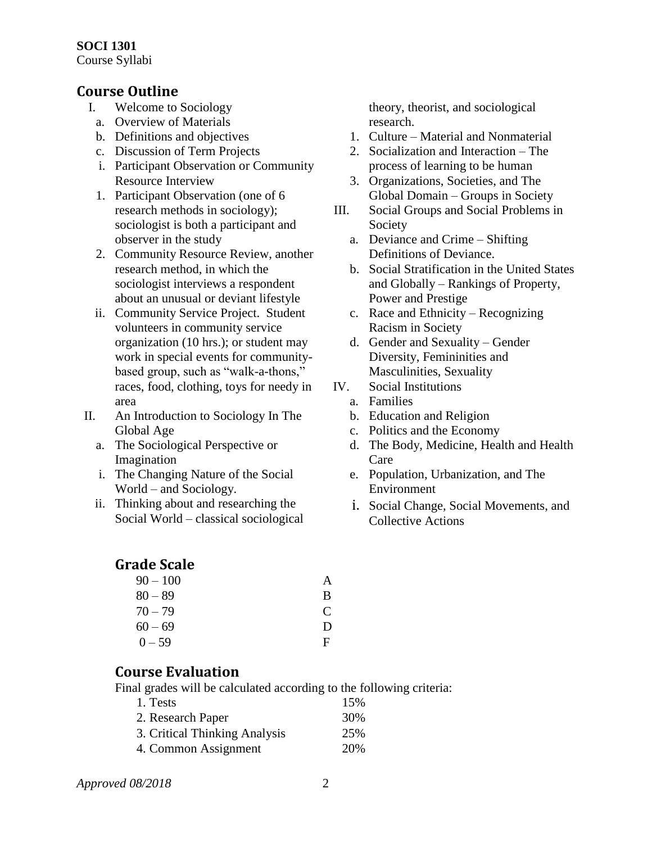#### **SOCI 1301** Course Syllabi

#### **Course Outline**

- I. Welcome to Sociology
	- a. Overview of Materials
	- b. Definitions and objectives
	- c. Discussion of Term Projects
	- i. Participant Observation or Community Resource Interview
	- 1. Participant Observation (one of 6 research methods in sociology); sociologist is both a participant and observer in the study
	- 2. Community Resource Review, another research method, in which the sociologist interviews a respondent about an unusual or deviant lifestyle
	- ii. Community Service Project. Student volunteers in community service organization (10 hrs.); or student may work in special events for communitybased group, such as "walk-a-thons," races, food, clothing, toys for needy in area
- II. An Introduction to Sociology In The Global Age
	- a. The Sociological Perspective or Imagination
	- i. The Changing Nature of the Social World – and Sociology.
	- ii. Thinking about and researching the Social World – classical sociological

### **Grade Scale**

| $90 - 100$ |              |
|------------|--------------|
| $80 - 89$  | В            |
| $70 - 79$  | $\mathbf{C}$ |
| $60 - 69$  | Ð            |
| $0 - 59$   | F            |

**Course Evaluation**

Final grades will be calculated according to the following criteria:

| 1. Tests                      | 15% |
|-------------------------------|-----|
| 2. Research Paper             | 30% |
| 3. Critical Thinking Analysis | 25% |
| 4. Common Assignment          | 20% |

theory, theorist, and sociological research.

- 1. Culture Material and Nonmaterial
- 2. Socialization and Interaction The process of learning to be human
- 3. Organizations, Societies, and The Global Domain – Groups in Society
- III. Social Groups and Social Problems in Society
	- a. Deviance and Crime Shifting Definitions of Deviance.
	- b. Social Stratification in the United States and Globally – Rankings of Property, Power and Prestige
	- c. Race and Ethnicity Recognizing Racism in Society
	- d. Gender and Sexuality Gender Diversity, Femininities and Masculinities, Sexuality
- IV. Social Institutions
	- a. Families
	- b. Education and Religion
	- c. Politics and the Economy
	- d. The Body, Medicine, Health and Health Care
	- e. Population, Urbanization, and The Environment
	- i. Social Change, Social Movements, and Collective Actions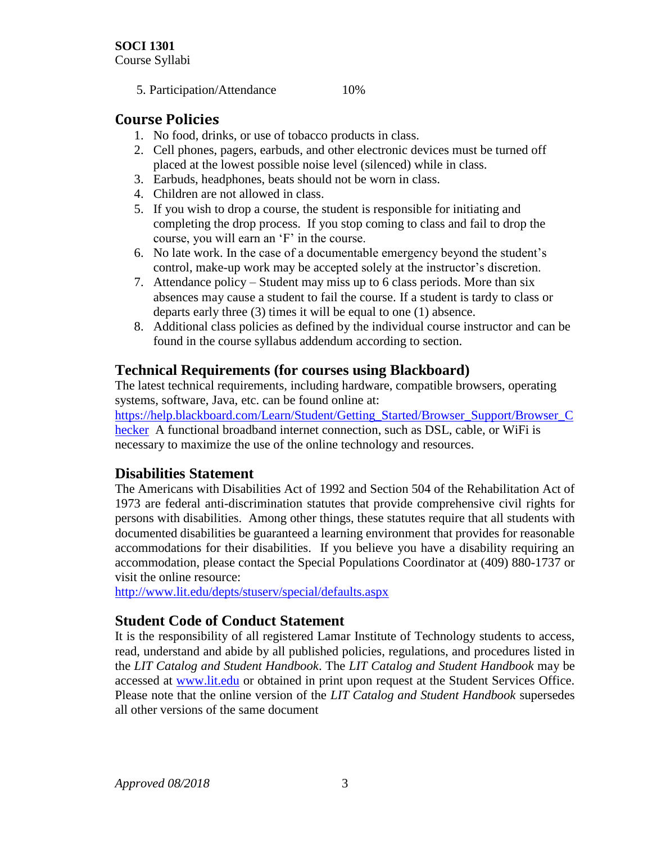5. Participation/Attendance 10%

# **Course Policies**

- 1. No food, drinks, or use of tobacco products in class.
- 2. Cell phones, pagers, earbuds, and other electronic devices must be turned off placed at the lowest possible noise level (silenced) while in class.
- 3. Earbuds, headphones, beats should not be worn in class.
- 4. Children are not allowed in class.
- 5. If you wish to drop a course, the student is responsible for initiating and completing the drop process. If you stop coming to class and fail to drop the course, you will earn an 'F' in the course.
- 6. No late work. In the case of a documentable emergency beyond the student's control, make-up work may be accepted solely at the instructor's discretion.
- 7. Attendance policy Student may miss up to 6 class periods. More than six absences may cause a student to fail the course. If a student is tardy to class or departs early three (3) times it will be equal to one (1) absence.
- 8. Additional class policies as defined by the individual course instructor and can be found in the course syllabus addendum according to section.

### **Technical Requirements (for courses using Blackboard)**

The latest technical requirements, including hardware, compatible browsers, operating systems, software, Java, etc. can be found online at:

[https://help.blackboard.com/Learn/Student/Getting\\_Started/Browser\\_Support/Browser\\_C](https://help.blackboard.com/Learn/Student/Getting_Started/Browser_Support/Browser_Checker) [hecker](https://help.blackboard.com/Learn/Student/Getting_Started/Browser_Support/Browser_Checker) A functional broadband internet connection, such as DSL, cable, or WiFi is necessary to maximize the use of the online technology and resources.

### **Disabilities Statement**

The Americans with Disabilities Act of 1992 and Section 504 of the Rehabilitation Act of 1973 are federal anti-discrimination statutes that provide comprehensive civil rights for persons with disabilities. Among other things, these statutes require that all students with documented disabilities be guaranteed a learning environment that provides for reasonable accommodations for their disabilities. If you believe you have a disability requiring an accommodation, please contact the Special Populations Coordinator at (409) 880-1737 or visit the online resource:

<http://www.lit.edu/depts/stuserv/special/defaults.aspx>

### **Student Code of Conduct Statement**

It is the responsibility of all registered Lamar Institute of Technology students to access, read, understand and abide by all published policies, regulations, and procedures listed in the *LIT Catalog and Student Handbook*. The *LIT Catalog and Student Handbook* may be accessed at [www.lit.edu](http://www.lit.edu/) or obtained in print upon request at the Student Services Office. Please note that the online version of the *LIT Catalog and Student Handbook* supersedes all other versions of the same document